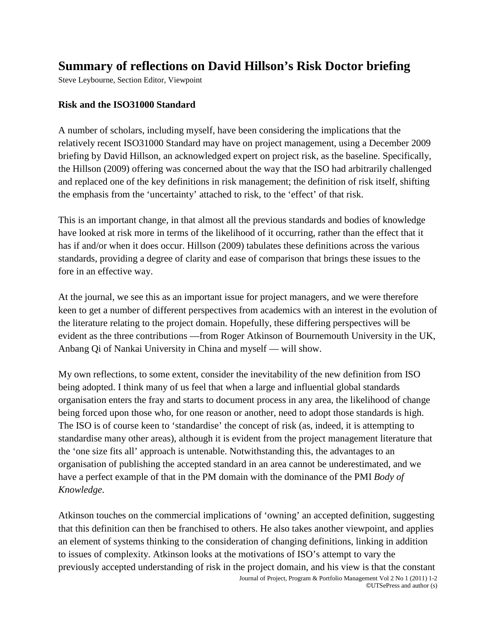## **Summary of reflections on David Hillson's Risk Doctor briefing**

Steve Leybourne, Section Editor, Viewpoint

## **Risk and the ISO31000 Standard**

A number of scholars, including myself, have been considering the implications that the relatively recent ISO31000 Standard may have on project management, using a December 2009 briefing by David Hillson, an acknowledged expert on project risk, as the baseline. Specifically, the Hillson (2009) offering was concerned about the way that the ISO had arbitrarily challenged and replaced one of the key definitions in risk management; the definition of risk itself, shifting the emphasis from the 'uncertainty' attached to risk, to the 'effect' of that risk.

This is an important change, in that almost all the previous standards and bodies of knowledge have looked at risk more in terms of the likelihood of it occurring, rather than the effect that it has if and/or when it does occur. Hillson (2009) tabulates these definitions across the various standards, providing a degree of clarity and ease of comparison that brings these issues to the fore in an effective way.

At the journal, we see this as an important issue for project managers, and we were therefore keen to get a number of different perspectives from academics with an interest in the evolution of the literature relating to the project domain. Hopefully, these differing perspectives will be evident as the three contributions —from Roger Atkinson of Bournemouth University in the UK, Anbang Qi of Nankai University in China and myself — will show.

My own reflections, to some extent, consider the inevitability of the new definition from ISO being adopted. I think many of us feel that when a large and influential global standards organisation enters the fray and starts to document process in any area, the likelihood of change being forced upon those who, for one reason or another, need to adopt those standards is high. The ISO is of course keen to 'standardise' the concept of risk (as, indeed, it is attempting to standardise many other areas), although it is evident from the project management literature that the 'one size fits all' approach is untenable. Notwithstanding this, the advantages to an organisation of publishing the accepted standard in an area cannot be underestimated, and we have a perfect example of that in the PM domain with the dominance of the PMI *Body of Knowledge*.

Atkinson touches on the commercial implications of 'owning' an accepted definition, suggesting that this definition can then be franchised to others. He also takes another viewpoint, and applies an element of systems thinking to the consideration of changing definitions, linking in addition to issues of complexity. Atkinson looks at the motivations of ISO's attempt to vary the previously accepted understanding of risk in the project domain, and his view is that the constant